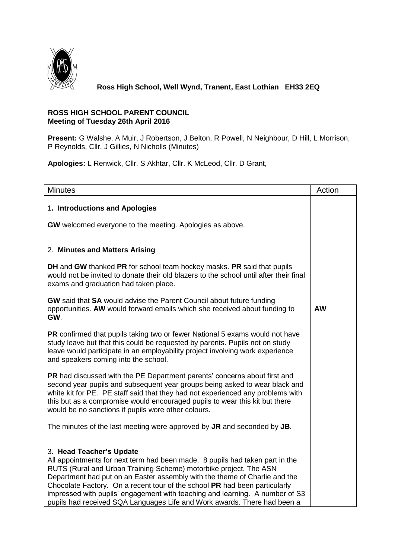

## **Ross High School, Well Wynd, Tranent, East Lothian EH33 2EQ**

## **ROSS HIGH SCHOOL PARENT COUNCIL Meeting of Tuesday 26th April 2016**

**Present:** G Walshe, A Muir, J Robertson, J Belton, R Powell, N Neighbour, D Hill, L Morrison, P Reynolds, Cllr. J Gillies, N Nicholls (Minutes)

**Apologies:** L Renwick, Cllr. S Akhtar, Cllr. K McLeod, Cllr. D Grant,

| <b>Minutes</b>                                                                                                                                                                                                                                                                                                                                                                                                                                                                                        | Action    |
|-------------------------------------------------------------------------------------------------------------------------------------------------------------------------------------------------------------------------------------------------------------------------------------------------------------------------------------------------------------------------------------------------------------------------------------------------------------------------------------------------------|-----------|
| 1. Introductions and Apologies<br>GW welcomed everyone to the meeting. Apologies as above.                                                                                                                                                                                                                                                                                                                                                                                                            |           |
| 2. Minutes and Matters Arising                                                                                                                                                                                                                                                                                                                                                                                                                                                                        |           |
| DH and GW thanked PR for school team hockey masks. PR said that pupils<br>would not be invited to donate their old blazers to the school until after their final<br>exams and graduation had taken place.                                                                                                                                                                                                                                                                                             |           |
| <b>GW</b> said that <b>SA</b> would advise the Parent Council about future funding<br>opportunities. AW would forward emails which she received about funding to<br>GW.                                                                                                                                                                                                                                                                                                                               | <b>AW</b> |
| PR confirmed that pupils taking two or fewer National 5 exams would not have<br>study leave but that this could be requested by parents. Pupils not on study<br>leave would participate in an employability project involving work experience<br>and speakers coming into the school.                                                                                                                                                                                                                 |           |
| PR had discussed with the PE Department parents' concerns about first and<br>second year pupils and subsequent year groups being asked to wear black and<br>white kit for PE. PE staff said that they had not experienced any problems with<br>this but as a compromise would encouraged pupils to wear this kit but there<br>would be no sanctions if pupils wore other colours.                                                                                                                     |           |
| The minutes of the last meeting were approved by JR and seconded by JB.                                                                                                                                                                                                                                                                                                                                                                                                                               |           |
| 3. Head Teacher's Update<br>All appointments for next term had been made. 8 pupils had taken part in the<br>RUTS (Rural and Urban Training Scheme) motorbike project. The ASN<br>Department had put on an Easter assembly with the theme of Charlie and the<br>Chocolate Factory. On a recent tour of the school PR had been particularly<br>impressed with pupils' engagement with teaching and learning. A number of S3<br>pupils had received SQA Languages Life and Work awards. There had been a |           |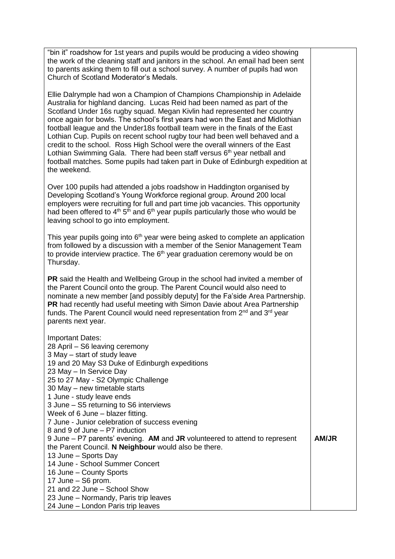"bin it" roadshow for 1st years and pupils would be producing a video showing the work of the cleaning staff and janitors in the school. An email had been sent to parents asking them to fill out a school survey. A number of pupils had won Church of Scotland Moderator's Medals.

Ellie Dalrymple had won a Champion of Champions Championship in Adelaide Australia for highland dancing. Lucas Reid had been named as part of the Scotland Under 16s rugby squad. Megan Kivlin had represented her country once again for bowls. The school's first years had won the East and Midlothian football league and the Under18s football team were in the finals of the East Lothian Cup. Pupils on recent school rugby tour had been well behaved and a credit to the school. Ross High School were the overall winners of the East Lothian Swimming Gala. There had been staff versus 6<sup>th</sup> year netball and football matches. Some pupils had taken part in Duke of Edinburgh expedition at the weekend.

Over 100 pupils had attended a jobs roadshow in Haddington organised by Developing Scotland's Young Workforce regional group. Around 200 local employers were recruiting for full and part time job vacancies. This opportunity had been offered to  $4<sup>th</sup> 5<sup>th</sup>$  and  $6<sup>th</sup>$  year pupils particularly those who would be leaving school to go into employment.

This year pupils going into  $6<sup>th</sup>$  year were being asked to complete an application from followed by a discussion with a member of the Senior Management Team to provide interview practice. The  $6<sup>th</sup>$  year graduation ceremony would be on Thursday.

**PR** said the Health and Wellbeing Group in the school had invited a member of the Parent Council onto the group. The Parent Council would also need to nominate a new member [and possibly deputy] for the Fa'side Area Partnership. **PR** had recently had useful meeting with Simon Davie about Area Partnership funds. The Parent Council would need representation from  $2<sup>nd</sup>$  and  $3<sup>rd</sup>$  year parents next year.

Important Dates: 28 April – S6 leaving ceremony 3 May – start of study leave 19 and 20 May S3 Duke of Edinburgh expeditions 23 May – In Service Day 25 to 27 May - S2 Olympic Challenge 30 May – new timetable starts 1 June - study leave ends 3 June – S5 returning to S6 interviews Week of 6 June – blazer fitting. 7 June - Junior celebration of success evening 8 and 9 of June – P7 induction 9 June – P7 parents' evening. **AM** and **JR** volunteered to attend to represent the Parent Council. **N Neighbour** would also be there. 13 June – Sports Day 14 June - School Summer Concert 16 June – County Sports 17 June – S6 prom. 21 and 22 June – School Show 23 June – Normandy, Paris trip leaves 24 June – London Paris trip leaves **AM/JR**